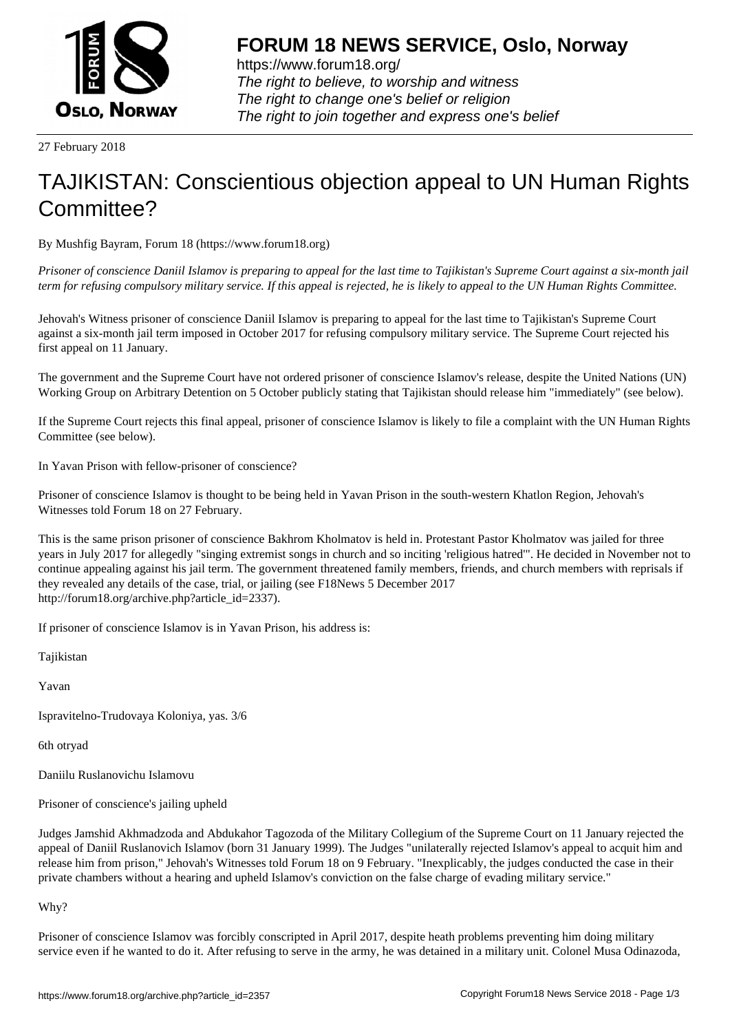

https://www.forum18.org/ The right to believe, to worship and witness The right to change one's belief or religion [The right to join together a](https://www.forum18.org/)nd express one's belief

27 February 2018

## [TAJIKISTAN: C](https://www.forum18.org)onscientious objection appeal to UN Human Rights Committee?

By Mushfig Bayram, Forum 18 (https://www.forum18.org)

*Prisoner of conscience Daniil Islamov is preparing to appeal for the last time to Tajikistan's Supreme Court against a six-month jail term for refusing compulsory military service. If this appeal is rejected, he is likely to appeal to the UN Human Rights Committee.*

Jehovah's Witness prisoner of conscience Daniil Islamov is preparing to appeal for the last time to Tajikistan's Supreme Court against a six-month jail term imposed in October 2017 for refusing compulsory military service. The Supreme Court rejected his first appeal on 11 January.

The government and the Supreme Court have not ordered prisoner of conscience Islamov's release, despite the United Nations (UN) Working Group on Arbitrary Detention on 5 October publicly stating that Tajikistan should release him "immediately" (see below).

If the Supreme Court rejects this final appeal, prisoner of conscience Islamov is likely to file a complaint with the UN Human Rights Committee (see below).

In Yavan Prison with fellow-prisoner of conscience?

Prisoner of conscience Islamov is thought to be being held in Yavan Prison in the south-western Khatlon Region, Jehovah's Witnesses told Forum 18 on 27 February.

This is the same prison prisoner of conscience Bakhrom Kholmatov is held in. Protestant Pastor Kholmatov was jailed for three years in July 2017 for allegedly "singing extremist songs in church and so inciting 'religious hatred'". He decided in November not to continue appealing against his jail term. The government threatened family members, friends, and church members with reprisals if they revealed any details of the case, trial, or jailing (see F18News 5 December 2017 http://forum18.org/archive.php?article\_id=2337).

If prisoner of conscience Islamov is in Yavan Prison, his address is:

Tajikistan

Yavan

Ispravitelno-Trudovaya Koloniya, yas. 3/6

6th otryad

Daniilu Ruslanovichu Islamovu

Prisoner of conscience's jailing upheld

Judges Jamshid Akhmadzoda and Abdukahor Tagozoda of the Military Collegium of the Supreme Court on 11 January rejected the appeal of Daniil Ruslanovich Islamov (born 31 January 1999). The Judges "unilaterally rejected Islamov's appeal to acquit him and release him from prison," Jehovah's Witnesses told Forum 18 on 9 February. "Inexplicably, the judges conducted the case in their private chambers without a hearing and upheld Islamov's conviction on the false charge of evading military service."

Why?

Prisoner of conscience Islamov was forcibly conscripted in April 2017, despite heath problems preventing him doing military service even if he wanted to do it. After refusing to serve in the army, he was detained in a military unit. Colonel Musa Odinazoda,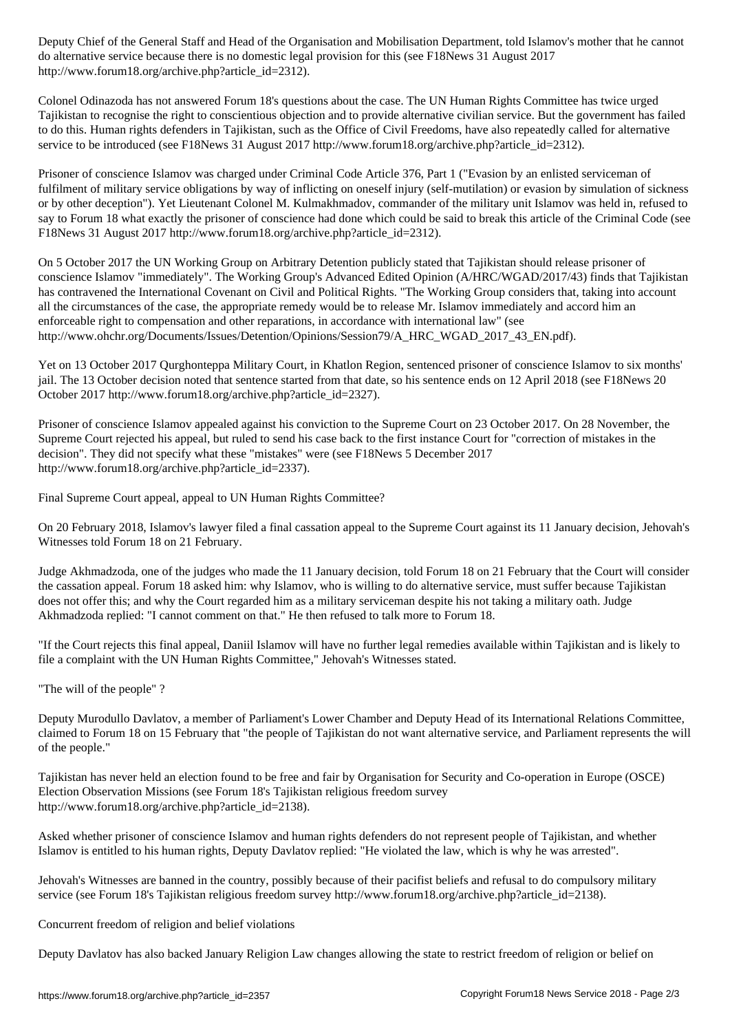do alternative service because there is no domestic legal provision for this (see F18News 31 August 2017 http://www.forum18.org/archive.php?article\_id=2312).

Colonel Odinazoda has not answered Forum 18's questions about the case. The UN Human Rights Committee has twice urged Tajikistan to recognise the right to conscientious objection and to provide alternative civilian service. But the government has failed to do this. Human rights defenders in Tajikistan, such as the Office of Civil Freedoms, have also repeatedly called for alternative service to be introduced (see F18News 31 August 2017 http://www.forum18.org/archive.php?article\_id=2312).

Prisoner of conscience Islamov was charged under Criminal Code Article 376, Part 1 ("Evasion by an enlisted serviceman of fulfilment of military service obligations by way of inflicting on oneself injury (self-mutilation) or evasion by simulation of sickness or by other deception"). Yet Lieutenant Colonel M. Kulmakhmadov, commander of the military unit Islamov was held in, refused to say to Forum 18 what exactly the prisoner of conscience had done which could be said to break this article of the Criminal Code (see F18News 31 August 2017 http://www.forum18.org/archive.php?article\_id=2312).

On 5 October 2017 the UN Working Group on Arbitrary Detention publicly stated that Tajikistan should release prisoner of conscience Islamov "immediately". The Working Group's Advanced Edited Opinion (A/HRC/WGAD/2017/43) finds that Tajikistan has contravened the International Covenant on Civil and Political Rights. "The Working Group considers that, taking into account all the circumstances of the case, the appropriate remedy would be to release Mr. Islamov immediately and accord him an enforceable right to compensation and other reparations, in accordance with international law" (see http://www.ohchr.org/Documents/Issues/Detention/Opinions/Session79/A\_HRC\_WGAD\_2017\_43\_EN.pdf).

Yet on 13 October 2017 Qurghonteppa Military Court, in Khatlon Region, sentenced prisoner of conscience Islamov to six months' jail. The 13 October decision noted that sentence started from that date, so his sentence ends on 12 April 2018 (see F18News 20 October 2017 http://www.forum18.org/archive.php?article\_id=2327).

Prisoner of conscience Islamov appealed against his conviction to the Supreme Court on 23 October 2017. On 28 November, the Supreme Court rejected his appeal, but ruled to send his case back to the first instance Court for "correction of mistakes in the decision". They did not specify what these "mistakes" were (see F18News 5 December 2017 http://www.forum18.org/archive.php?article\_id=2337).

Final Supreme Court appeal, appeal to UN Human Rights Committee?

On 20 February 2018, Islamov's lawyer filed a final cassation appeal to the Supreme Court against its 11 January decision, Jehovah's Witnesses told Forum 18 on 21 February.

Judge Akhmadzoda, one of the judges who made the 11 January decision, told Forum 18 on 21 February that the Court will consider the cassation appeal. Forum 18 asked him: why Islamov, who is willing to do alternative service, must suffer because Tajikistan does not offer this; and why the Court regarded him as a military serviceman despite his not taking a military oath. Judge Akhmadzoda replied: "I cannot comment on that." He then refused to talk more to Forum 18.

"If the Court rejects this final appeal, Daniil Islamov will have no further legal remedies available within Tajikistan and is likely to file a complaint with the UN Human Rights Committee," Jehovah's Witnesses stated.

"The will of the people" ?

Deputy Murodullo Davlatov, a member of Parliament's Lower Chamber and Deputy Head of its International Relations Committee, claimed to Forum 18 on 15 February that "the people of Tajikistan do not want alternative service, and Parliament represents the will of the people."

Tajikistan has never held an election found to be free and fair by Organisation for Security and Co-operation in Europe (OSCE) Election Observation Missions (see Forum 18's Tajikistan religious freedom survey http://www.forum18.org/archive.php?article\_id=2138).

Asked whether prisoner of conscience Islamov and human rights defenders do not represent people of Tajikistan, and whether Islamov is entitled to his human rights, Deputy Davlatov replied: "He violated the law, which is why he was arrested".

Jehovah's Witnesses are banned in the country, possibly because of their pacifist beliefs and refusal to do compulsory military service (see Forum 18's Tajikistan religious freedom survey http://www.forum18.org/archive.php?article\_id=2138).

Concurrent freedom of religion and belief violations

Deputy Davlatov has also backed January Religion Law changes allowing the state to restrict freedom of religion or belief on